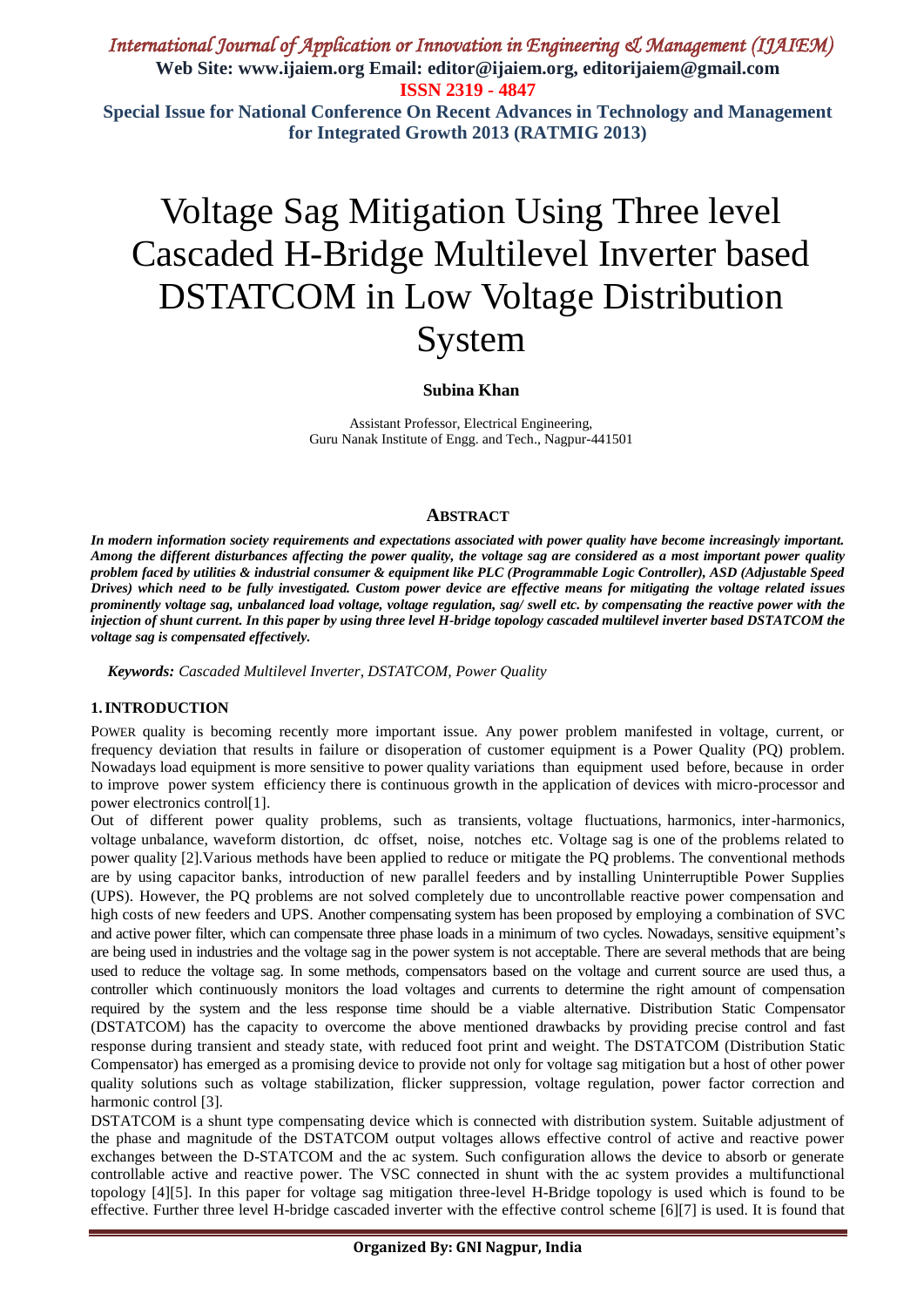# Voltage Sag Mitigation Using Three level Cascaded H-Bridge Multilevel Inverter based DSTATCOM in Low Voltage Distribution System

### **Subina Khan**

Assistant Professor, Electrical Engineering, Guru Nanak Institute of Engg. and Tech., Nagpur-441501

### **ABSTRACT**

*In modern information society requirements and expectations associated with power quality have become increasingly important. Among the different disturbances affecting the power quality, the voltage sag are considered as a most important power quality problem faced by utilities & industrial consumer & equipment like PLC (Programmable Logic Controller), ASD (Adjustable Speed Drives) which need to be fully investigated. Custom power device are effective means for mitigating the voltage related issues prominently voltage sag, unbalanced load voltage, voltage regulation, sag/ swell etc. by compensating the reactive power with the injection of shunt current. In this paper by using three level H-bridge topology cascaded multilevel inverter based DSTATCOM the voltage sag is compensated effectively.* 

*Keywords: Cascaded Multilevel Inverter, DSTATCOM, Power Quality* 

#### **1.INTRODUCTION**

POWER quality is becoming recently more important issue. Any power problem manifested in voltage, current, or frequency deviation that results in failure or disoperation of customer equipment is a Power Quality (PQ) problem. Nowadays load equipment is more sensitive to power quality variations than equipment used before, because in order to improve power system efficiency there is continuous growth in the application of devices with micro-processor and power electronics control[1].

Out of different power quality problems, such as transients, voltage fluctuations, harmonics, inter-harmonics, voltage unbalance, waveform distortion, dc offset, noise, notches etc. Voltage sag is one of the problems related to power quality [2].Various methods have been applied to reduce or mitigate the PQ problems. The conventional methods are by using capacitor banks, introduction of new parallel feeders and by installing Uninterruptible Power Supplies (UPS). However, the PQ problems are not solved completely due to uncontrollable reactive power compensation and high costs of new feeders and UPS. Another compensating system has been proposed by employing a combination of SVC and active power filter, which can compensate three phase loads in a minimum of two cycles. Nowadays, sensitive equipment's are being used in industries and the voltage sag in the power system is not acceptable. There are several methods that are being used to reduce the voltage sag. In some methods, compensators based on the voltage and current source are used thus, a controller which continuously monitors the load voltages and currents to determine the right amount of compensation required by the system and the less response time should be a viable alternative. Distribution Static Compensator (DSTATCOM) has the capacity to overcome the above mentioned drawbacks by providing precise control and fast response during transient and steady state, with reduced foot print and weight. The DSTATCOM (Distribution Static Compensator) has emerged as a promising device to provide not only for voltage sag mitigation but a host of other power quality solutions such as voltage stabilization, flicker suppression, voltage regulation, power factor correction and harmonic control [3].

DSTATCOM is a shunt type compensating device which is connected with distribution system. Suitable adjustment of the phase and magnitude of the DSTATCOM output voltages allows effective control of active and reactive power exchanges between the D-STATCOM and the ac system. Such configuration allows the device to absorb or generate controllable active and reactive power. The VSC connected in shunt with the ac system provides a multifunctional topology [4][5]. In this paper for voltage sag mitigation three-level H-Bridge topology is used which is found to be effective. Further three level H-bridge cascaded inverter with the effective control scheme [6][7] is used. It is found that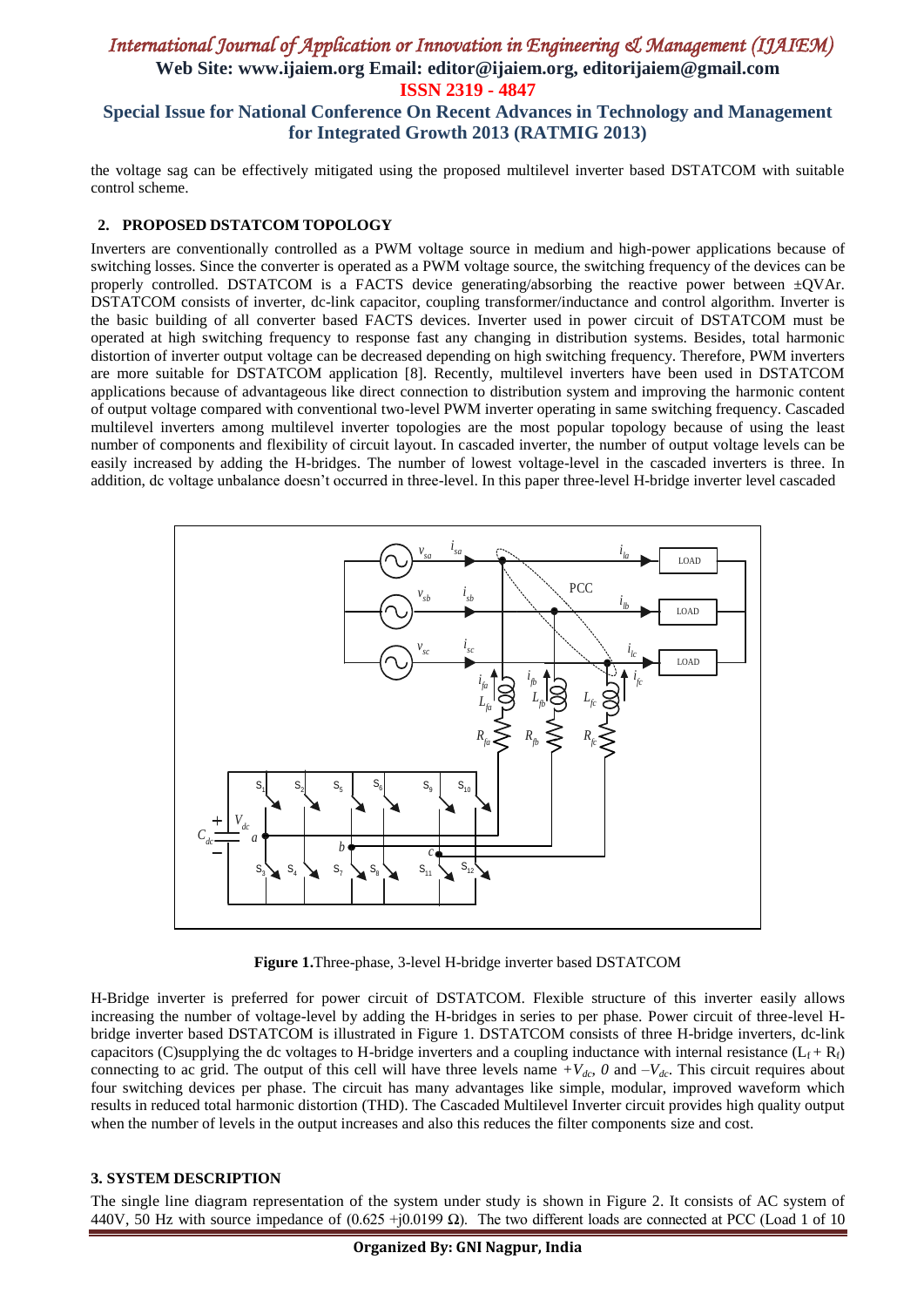the voltage sag can be effectively mitigated using the proposed multilevel inverter based DSTATCOM with suitable control scheme.

## **2. PROPOSED DSTATCOM TOPOLOGY**

Inverters are conventionally controlled as a PWM voltage source in medium and high-power applications because of switching losses. Since the converter is operated as a PWM voltage source, the switching frequency of the devices can be properly controlled. DSTATCOM is a FACTS device generating/absorbing the reactive power between ±QVAr. DSTATCOM consists of inverter, dc-link capacitor, coupling transformer/inductance and control algorithm. Inverter is the basic building of all converter based FACTS devices. Inverter used in power circuit of DSTATCOM must be operated at high switching frequency to response fast any changing in distribution systems. Besides, total harmonic distortion of inverter output voltage can be decreased depending on high switching frequency. Therefore, PWM inverters are more suitable for DSTATCOM application [8]. Recently, multilevel inverters have been used in DSTATCOM applications because of advantageous like direct connection to distribution system and improving the harmonic content of output voltage compared with conventional two-level PWM inverter operating in same switching frequency. Cascaded multilevel inverters among multilevel inverter topologies are the most popular topology because of using the least number of components and flexibility of circuit layout. In cascaded inverter, the number of output voltage levels can be easily increased by adding the H-bridges. The number of lowest voltage-level in the cascaded inverters is three. In addition, dc voltage unbalance doesn't occurred in three-level. In this paper three-level H-bridge inverter level cascaded



**Figure 1.**Three-phase, 3-level H-bridge inverter based DSTATCOM

H-Bridge inverter is preferred for power circuit of DSTATCOM. Flexible structure of this inverter easily allows increasing the number of voltage-level by adding the H-bridges in series to per phase. Power circuit of three-level Hbridge inverter based DSTATCOM is illustrated in Figure 1. DSTATCOM consists of three H-bridge inverters, dc-link capacitors (C)supplying the dc voltages to H-bridge inverters and a coupling inductance with internal resistance ( $L_f + R_f$ ) connecting to ac grid. The output of this cell will have three levels name  $+V_{dc}$ ,  $\theta$  and  $-V_{dc}$ . This circuit requires about four switching devices per phase. The circuit has many advantages like simple, modular, improved waveform which results in reduced total harmonic distortion (THD). The Cascaded Multilevel Inverter circuit provides high quality output when the number of levels in the output increases and also this reduces the filter components size and cost.

## **3. SYSTEM DESCRIPTION**

The single line diagram representation of the system under study is shown in Figure 2. It consists of AC system of 440V, 50 Hz with source impedance of  $(0.625 + j0.0199 \Omega)$ . The two different loads are connected at PCC (Load 1 of 10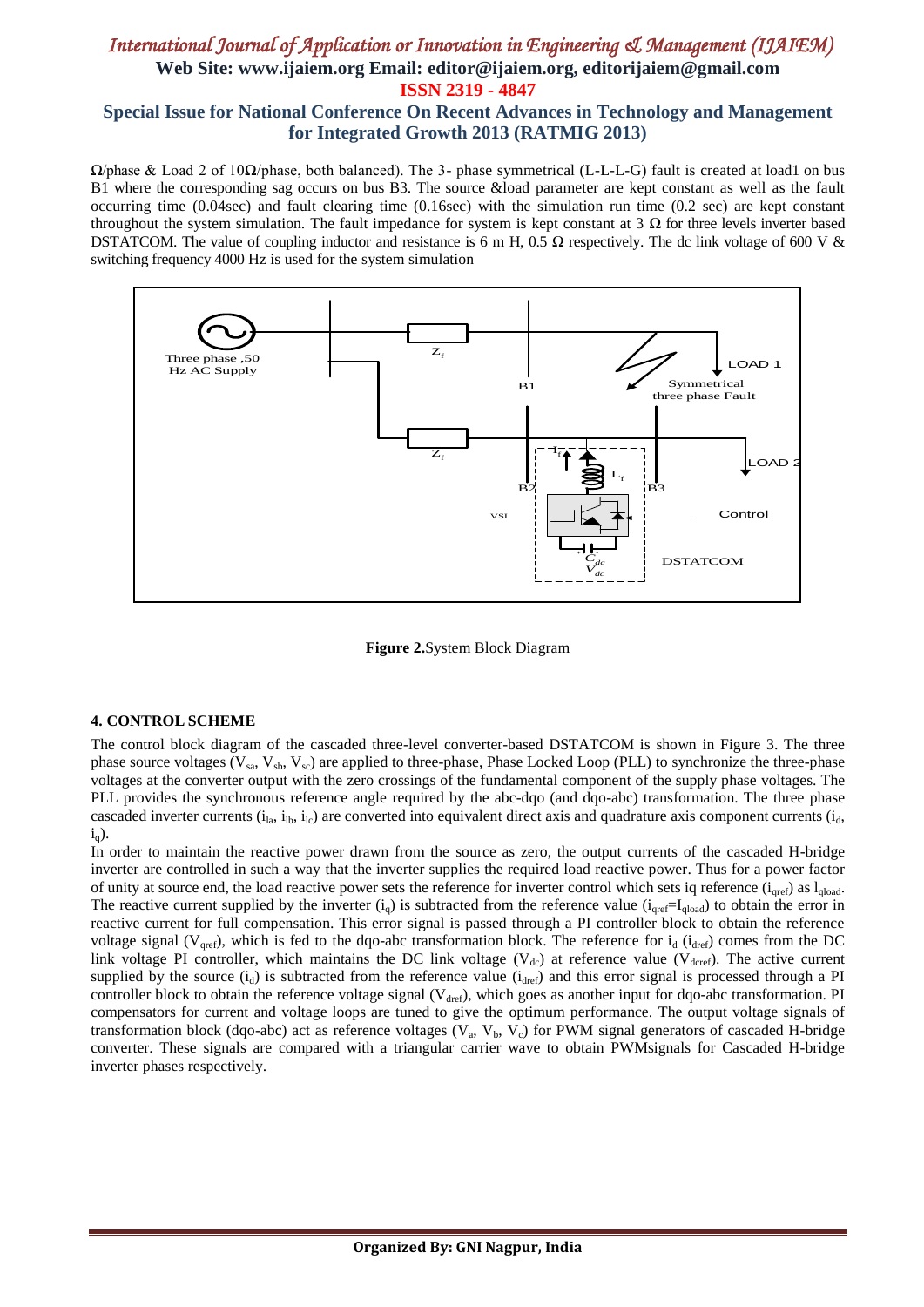Ω/phase & Load 2 of 10Ω/phase, both balanced). The 3- phase symmetrical (L-L-L-G) fault is created at load1 on bus B1 where the corresponding sag occurs on bus B3. The source &load parameter are kept constant as well as the fault occurring time (0.04sec) and fault clearing time (0.16sec) with the simulation run time (0.2 sec) are kept constant throughout the system simulation. The fault impedance for system is kept constant at 3 Ω for three levels inverter based DSTATCOM. The value of coupling inductor and resistance is 6 m H, 0.5  $\Omega$  respectively. The dc link voltage of 600 V & switching frequency 4000 Hz is used for the system simulation



**Figure 2.**System Block Diagram

## **4. CONTROL SCHEME**

The control block diagram of the cascaded three-level converter-based DSTATCOM is shown in Figure 3. The three phase source voltages ( $V_{sa}$ ,  $V_{sb}$ ,  $V_{sc}$ ) are applied to three-phase, Phase Locked Loop (PLL) to synchronize the three-phase voltages at the converter output with the zero crossings of the fundamental component of the supply phase voltages. The PLL provides the synchronous reference angle required by the abc-dqo (and dqo-abc) transformation. The three phase cascaded inverter currents  $(i_{la}, i_{Ib}, i_{Ic})$  are converted into equivalent direct axis and quadrature axis component currents  $(i_d, j_{Ic})$  $i_q$ ).

In order to maintain the reactive power drawn from the source as zero, the output currents of the cascaded H-bridge inverter are controlled in such a way that the inverter supplies the required load reactive power. Thus for a power factor of unity at source end, the load reactive power sets the reference for inverter control which sets iq reference  $(i<sub>aref</sub>)$  as  $l<sub>closed</sub>$ . The reactive current supplied by the inverter  $(i_q)$  is subtracted from the reference value  $(i_{qref}=I_{qload})$  to obtain the error in reactive current for full compensation. This error signal is passed through a PI controller block to obtain the reference voltage signal ( $V_{\text{qref}}$ ), which is fed to the dqo-abc transformation block. The reference for  $i_d$  ( $i_{\text{dref}}$ ) comes from the DC link voltage PI controller, which maintains the DC link voltage ( $V_{dc}$ ) at reference value ( $V_{d\text{core}}$ ). The active current supplied by the source  $(i_d)$  is subtracted from the reference value  $(i_{\text{dref}})$  and this error signal is processed through a PI controller block to obtain the reference voltage signal ( $V_{\text{dref}}$ ), which goes as another input for dqo-abc transformation. PI compensators for current and voltage loops are tuned to give the optimum performance. The output voltage signals of transformation block (dqo-abc) act as reference voltages ( $V_a$ ,  $V_b$ ,  $V_c$ ) for PWM signal generators of cascaded H-bridge converter. These signals are compared with a triangular carrier wave to obtain PWMsignals for Cascaded H-bridge inverter phases respectively.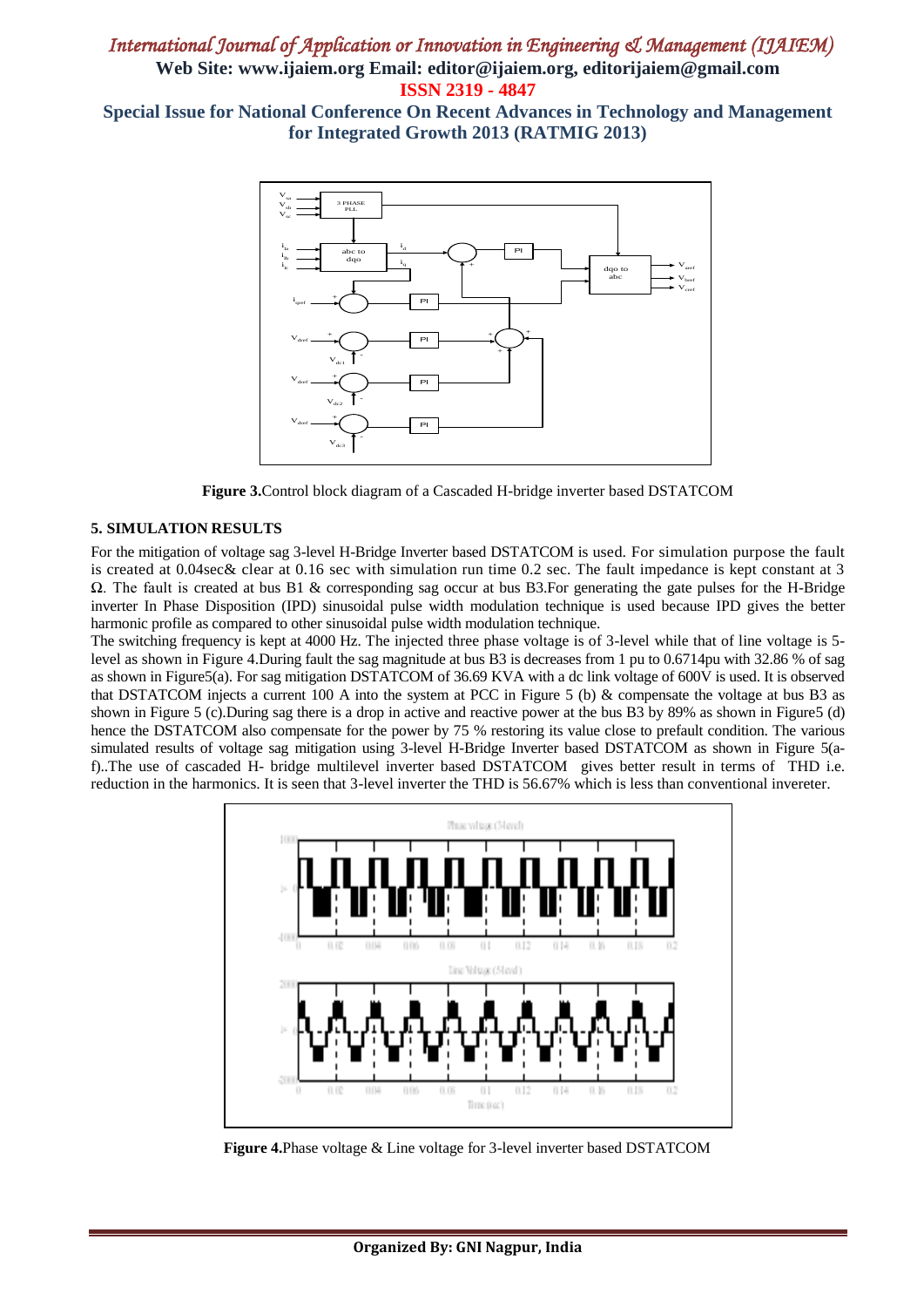# *International Journal of Application or Innovation in Engineering & Management (IJAIEM)*  **Web Site: www.ijaiem.org Email: editor@ijaiem.org, editorijaiem@gmail.com ISSN 2319 - 4847**

**Special Issue for National Conference On Recent Advances in Technology and Management for Integrated Growth 2013 (RATMIG 2013)**



**Figure 3.**Control block diagram of a Cascaded H-bridge inverter based DSTATCOM

#### **5. SIMULATION RESULTS**

For the mitigation of voltage sag 3-level H-Bridge Inverter based DSTATCOM is used. For simulation purpose the fault is created at 0.04sec& clear at 0.16 sec with simulation run time 0.2 sec. The fault impedance is kept constant at 3  $Ω$ . The fault is created at bus B1 & corresponding sag occur at bus B3. For generating the gate pulses for the H-Bridge inverter In Phase Disposition (IPD) sinusoidal pulse width modulation technique is used because IPD gives the better harmonic profile as compared to other sinusoidal pulse width modulation technique.

The switching frequency is kept at 4000 Hz. The injected three phase voltage is of 3-level while that of line voltage is 5 level as shown in Figure 4.During fault the sag magnitude at bus B3 is decreases from 1 pu to 0.6714pu with 32.86 % of sag as shown in Figure5(a). For sag mitigation DSTATCOM of 36.69 KVA with a dc link voltage of 600V is used. It is observed that DSTATCOM injects a current 100 A into the system at PCC in Figure 5 (b) & compensate the voltage at bus B3 as shown in Figure 5 (c).During sag there is a drop in active and reactive power at the bus B3 by 89% as shown in Figure5 (d) hence the DSTATCOM also compensate for the power by 75 % restoring its value close to prefault condition. The various simulated results of voltage sag mitigation using 3-level H-Bridge Inverter based DSTATCOM as shown in Figure 5(af)..The use of cascaded H- bridge multilevel inverter based DSTATCOM gives better result in terms of THD i.e. reduction in the harmonics. It is seen that 3-level inverter the THD is 56.67% which is less than conventional invereter.



**Figure 4.**Phase voltage & Line voltage for 3-level inverter based DSTATCOM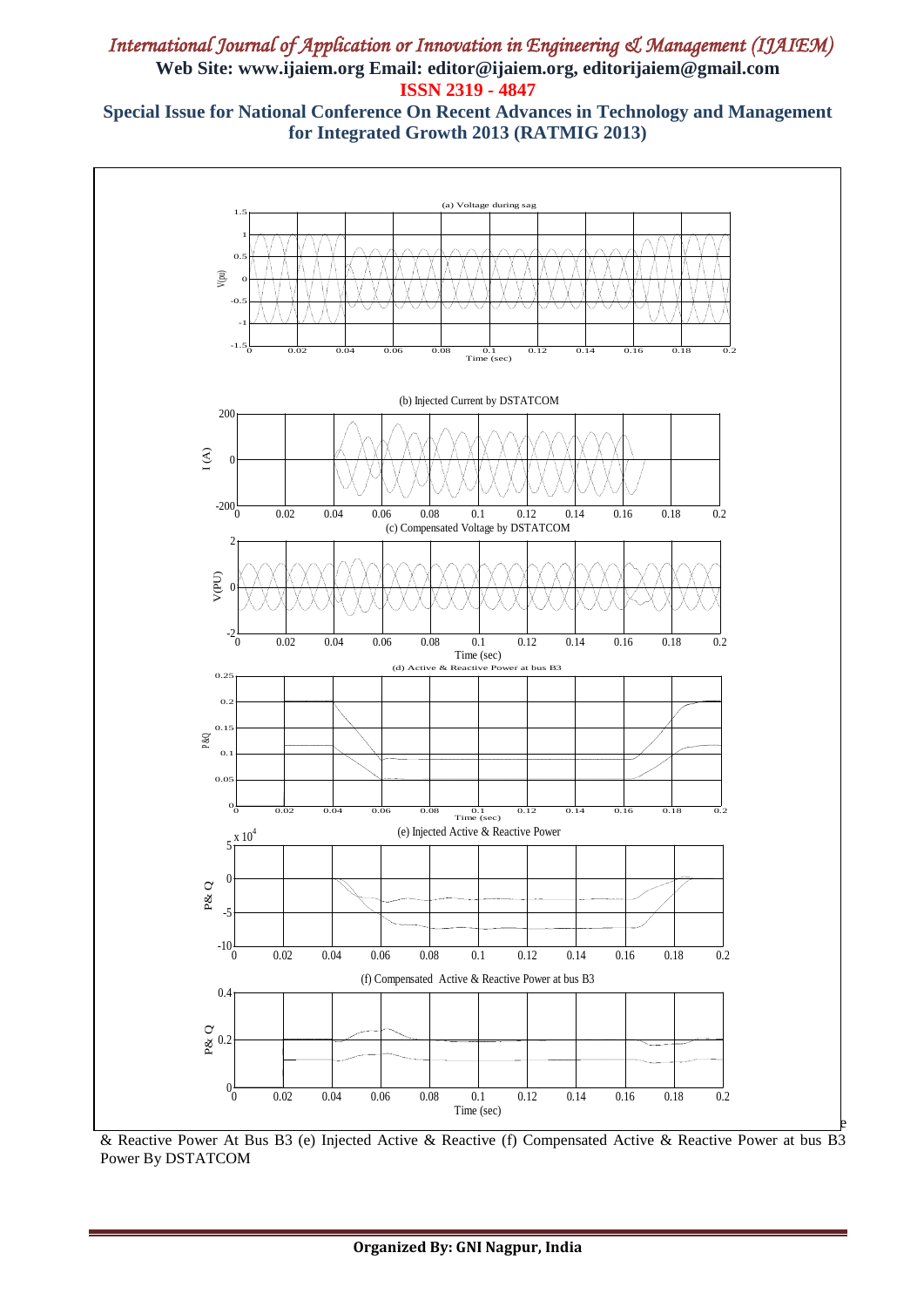# *International Journal of Application or Innovation in Engineering & Management (IJAIEM)*  **Web Site: www.ijaiem.org Email: editor@ijaiem.org, editorijaiem@gmail.com ISSN 2319 - 4847**

**Special Issue for National Conference On Recent Advances in Technology and Management for Integrated Growth 2013 (RATMIG 2013)**



& Reactive Power At Bus B3 (e) Injected Active & Reactive (f) Compensated Active & Reactive Power at bus B3 Power By DSTATCOM